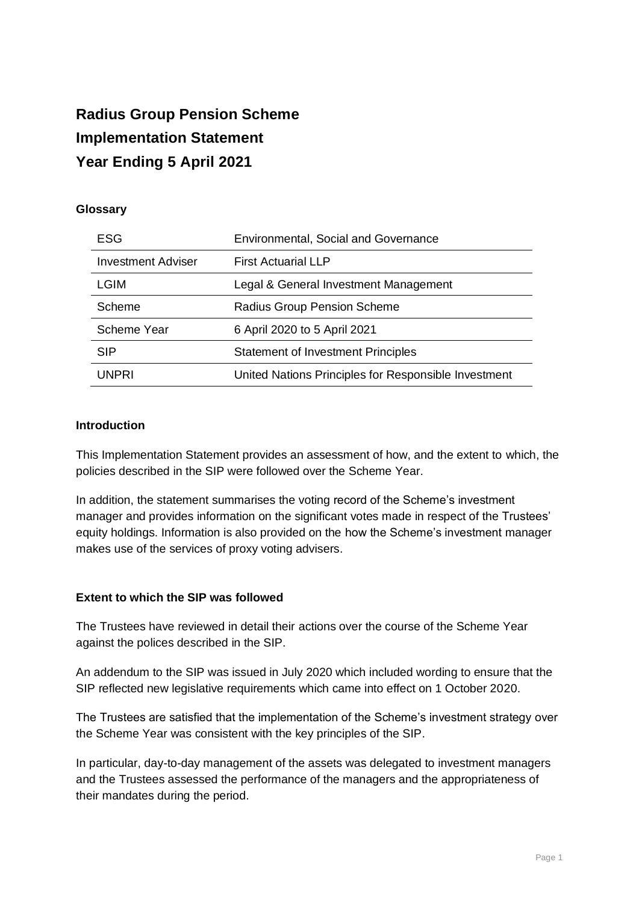# **Radius Group Pension Scheme Implementation Statement Year Ending 5 April 2021**

### **Glossary**

| ESG                       | <b>Environmental, Social and Governance</b>          |
|---------------------------|------------------------------------------------------|
| <b>Investment Adviser</b> | <b>First Actuarial LLP</b>                           |
| <b>LGIM</b>               | Legal & General Investment Management                |
| Scheme                    | Radius Group Pension Scheme                          |
| Scheme Year               | 6 April 2020 to 5 April 2021                         |
| <b>SIP</b>                | <b>Statement of Investment Principles</b>            |
| UNPRI                     | United Nations Principles for Responsible Investment |

### **Introduction**

This Implementation Statement provides an assessment of how, and the extent to which, the policies described in the SIP were followed over the Scheme Year.

In addition, the statement summarises the voting record of the Scheme's investment manager and provides information on the significant votes made in respect of the Trustees' equity holdings. Information is also provided on the how the Scheme's investment manager makes use of the services of proxy voting advisers.

### **Extent to which the SIP was followed**

The Trustees have reviewed in detail their actions over the course of the Scheme Year against the polices described in the SIP.

An addendum to the SIP was issued in July 2020 which included wording to ensure that the SIP reflected new legislative requirements which came into effect on 1 October 2020.

The Trustees are satisfied that the implementation of the Scheme's investment strategy over the Scheme Year was consistent with the key principles of the SIP.

In particular, day-to-day management of the assets was delegated to investment managers and the Trustees assessed the performance of the managers and the appropriateness of their mandates during the period.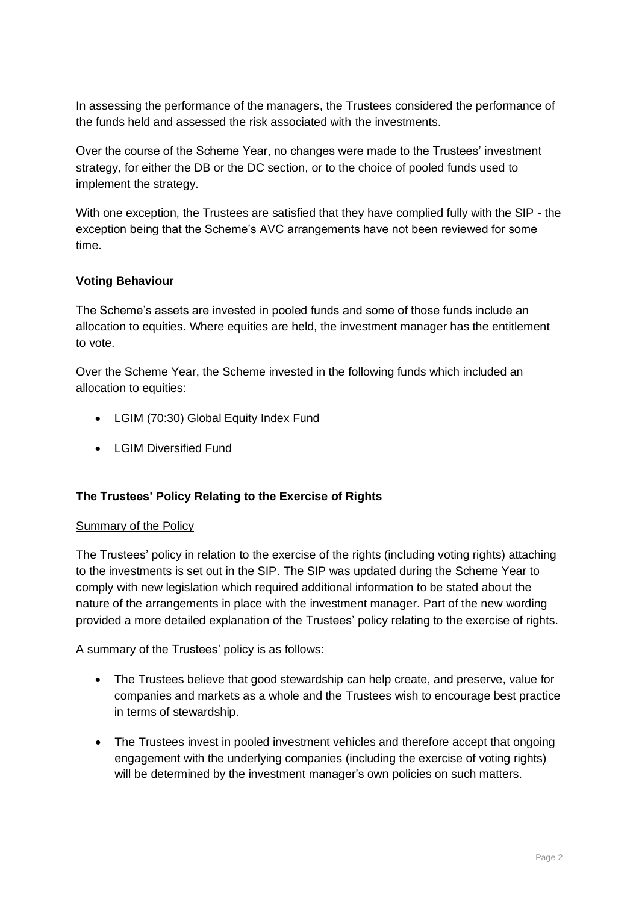In assessing the performance of the managers, the Trustees considered the performance of the funds held and assessed the risk associated with the investments.

Over the course of the Scheme Year, no changes were made to the Trustees' investment strategy, for either the DB or the DC section, or to the choice of pooled funds used to implement the strategy.

With one exception, the Trustees are satisfied that they have complied fully with the SIP - the exception being that the Scheme's AVC arrangements have not been reviewed for some time.

# **Voting Behaviour**

The Scheme's assets are invested in pooled funds and some of those funds include an allocation to equities. Where equities are held, the investment manager has the entitlement to vote.

Over the Scheme Year, the Scheme invested in the following funds which included an allocation to equities:

- LGIM (70:30) Global Equity Index Fund
- LGIM Diversified Fund

### **The Trustees' Policy Relating to the Exercise of Rights**

### Summary of the Policy

The Trustees' policy in relation to the exercise of the rights (including voting rights) attaching to the investments is set out in the SIP. The SIP was updated during the Scheme Year to comply with new legislation which required additional information to be stated about the nature of the arrangements in place with the investment manager. Part of the new wording provided a more detailed explanation of the Trustees' policy relating to the exercise of rights.

A summary of the Trustees' policy is as follows:

- The Trustees believe that good stewardship can help create, and preserve, value for companies and markets as a whole and the Trustees wish to encourage best practice in terms of stewardship.
- The Trustees invest in pooled investment vehicles and therefore accept that ongoing engagement with the underlying companies (including the exercise of voting rights) will be determined by the investment manager's own policies on such matters.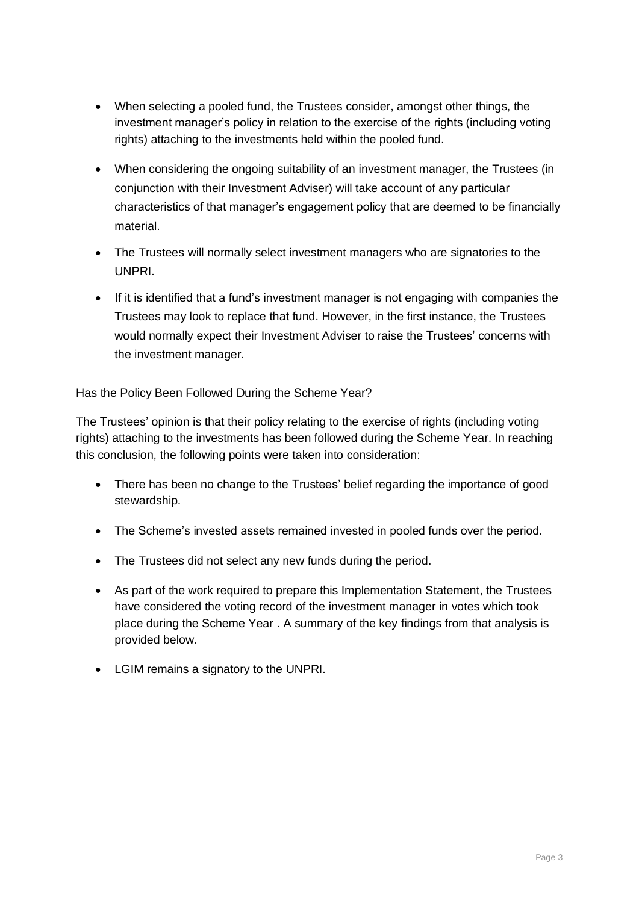- When selecting a pooled fund, the Trustees consider, amongst other things, the investment manager's policy in relation to the exercise of the rights (including voting rights) attaching to the investments held within the pooled fund.
- When considering the ongoing suitability of an investment manager, the Trustees (in conjunction with their Investment Adviser) will take account of any particular characteristics of that manager's engagement policy that are deemed to be financially material.
- The Trustees will normally select investment managers who are signatories to the UNPRI.
- If it is identified that a fund's investment manager is not engaging with companies the Trustees may look to replace that fund. However, in the first instance, the Trustees would normally expect their Investment Adviser to raise the Trustees' concerns with the investment manager.

# Has the Policy Been Followed During the Scheme Year?

The Trustees' opinion is that their policy relating to the exercise of rights (including voting rights) attaching to the investments has been followed during the Scheme Year. In reaching this conclusion, the following points were taken into consideration:

- There has been no change to the Trustees' belief regarding the importance of good stewardship.
- The Scheme's invested assets remained invested in pooled funds over the period.
- The Trustees did not select any new funds during the period.
- As part of the work required to prepare this Implementation Statement, the Trustees have considered the voting record of the investment manager in votes which took place during the Scheme Year . A summary of the key findings from that analysis is provided below.
- LGIM remains a signatory to the UNPRI.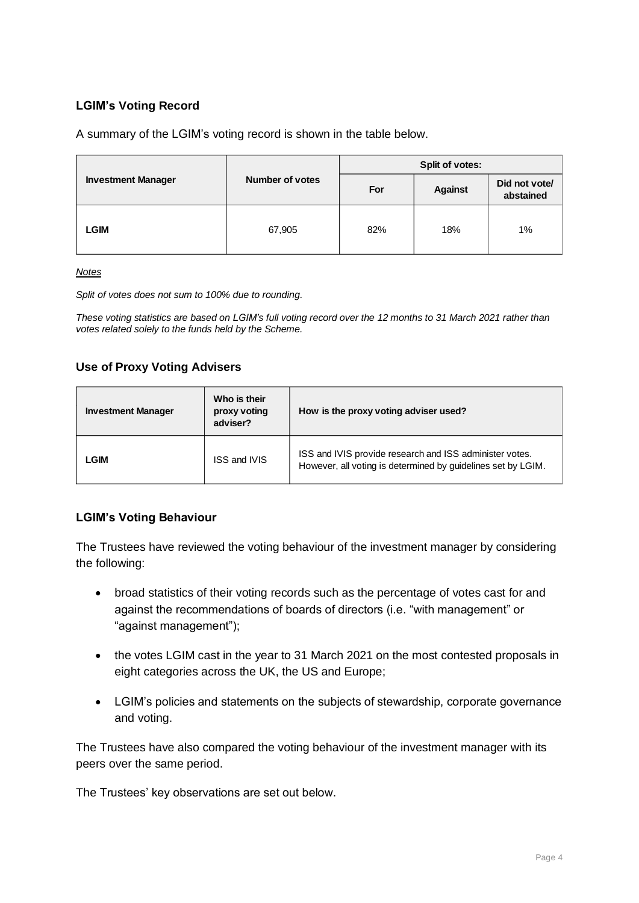# **LGIM's Voting Record**

A summary of the LGIM's voting record is shown in the table below.

|                           |                        | Split of votes: |                |                            |  |
|---------------------------|------------------------|-----------------|----------------|----------------------------|--|
| <b>Investment Manager</b> | <b>Number of votes</b> | For             | <b>Against</b> | Did not vote/<br>abstained |  |
| LGIM                      | 67,905                 | 82%             | 18%            | 1%                         |  |

#### *Notes*

*Split of votes does not sum to 100% due to rounding.*

*These voting statistics are based on LGIM's full voting record over the 12 months to 31 March 2021 rather than votes related solely to the funds held by the Scheme.*

### **Use of Proxy Voting Advisers**

| Who is their<br><b>Investment Manager</b><br>proxy voting<br>adviser? |                     | How is the proxy voting adviser used?                                                                                   |  |  |
|-----------------------------------------------------------------------|---------------------|-------------------------------------------------------------------------------------------------------------------------|--|--|
| LGIM                                                                  | <b>ISS and IVIS</b> | ISS and IVIS provide research and ISS administer votes.<br>However, all voting is determined by guidelines set by LGIM. |  |  |

### **LGIM's Voting Behaviour**

The Trustees have reviewed the voting behaviour of the investment manager by considering the following:

- broad statistics of their voting records such as the percentage of votes cast for and against the recommendations of boards of directors (i.e. "with management" or "against management");
- the votes LGIM cast in the year to 31 March 2021 on the most contested proposals in eight categories across the UK, the US and Europe;
- LGIM's policies and statements on the subjects of stewardship, corporate governance and voting.

The Trustees have also compared the voting behaviour of the investment manager with its peers over the same period.

The Trustees' key observations are set out below.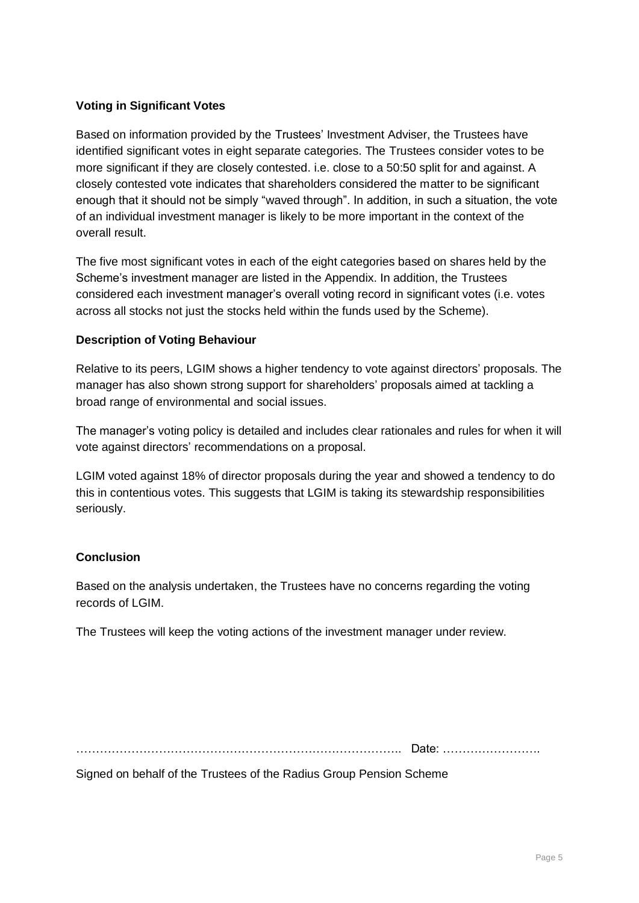## **Voting in Significant Votes**

Based on information provided by the Trustees' Investment Adviser, the Trustees have identified significant votes in eight separate categories. The Trustees consider votes to be more significant if they are closely contested. i.e. close to a 50:50 split for and against. A closely contested vote indicates that shareholders considered the matter to be significant enough that it should not be simply "waved through". In addition, in such a situation, the vote of an individual investment manager is likely to be more important in the context of the overall result.

The five most significant votes in each of the eight categories based on shares held by the Scheme's investment manager are listed in the Appendix. In addition, the Trustees considered each investment manager's overall voting record in significant votes (i.e. votes across all stocks not just the stocks held within the funds used by the Scheme).

### **Description of Voting Behaviour**

Relative to its peers, LGIM shows a higher tendency to vote against directors' proposals. The manager has also shown strong support for shareholders' proposals aimed at tackling a broad range of environmental and social issues.

The manager's voting policy is detailed and includes clear rationales and rules for when it will vote against directors' recommendations on a proposal.

LGIM voted against 18% of director proposals during the year and showed a tendency to do this in contentious votes. This suggests that LGIM is taking its stewardship responsibilities seriously.

# **Conclusion**

Based on the analysis undertaken, the Trustees have no concerns regarding the voting records of LGIM.

The Trustees will keep the voting actions of the investment manager under review.

……………………………………………………………………….. Date: …………………….

Signed on behalf of the Trustees of the Radius Group Pension Scheme